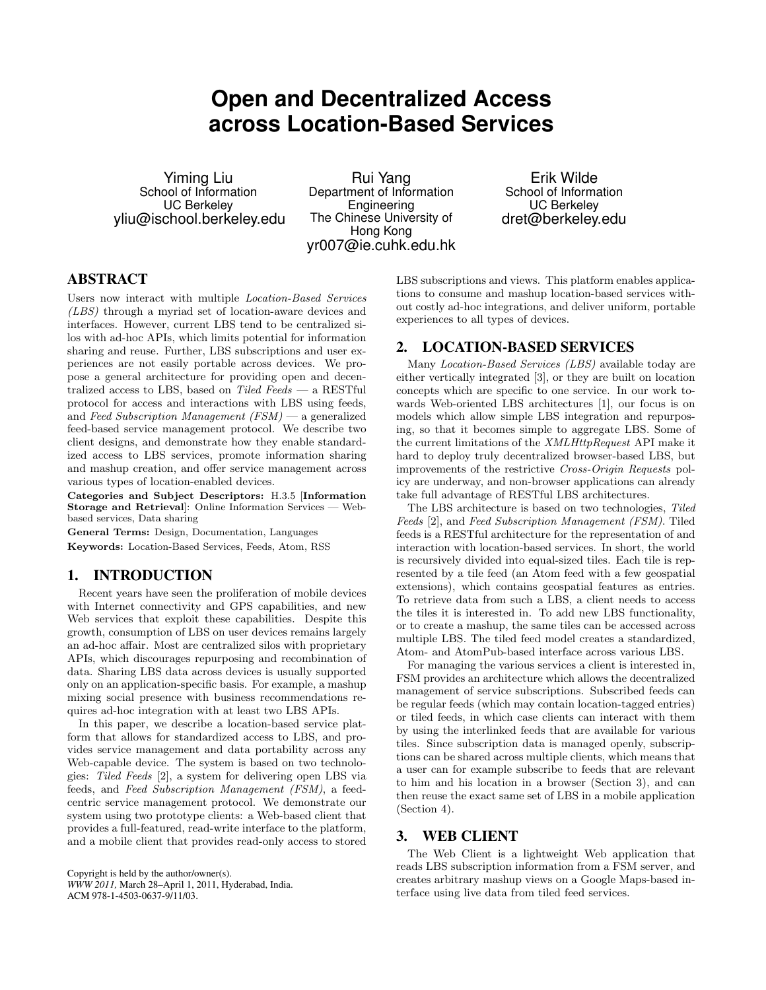# **Open and Decentralized Access across Location-Based Services**

Yiming Liu School of Information UC Berkeley yliu@ischool.berkeley.edu

Rui Yang Department of Information **Engineering** The Chinese University of Hong Kong yr007@ie.cuhk.edu.hk

Erik Wilde School of Information UC Berkeley dret@berkeley.edu

# ABSTRACT

Users now interact with multiple Location-Based Services (LBS) through a myriad set of location-aware devices and interfaces. However, current LBS tend to be centralized silos with ad-hoc APIs, which limits potential for information sharing and reuse. Further, LBS subscriptions and user experiences are not easily portable across devices. We propose a general architecture for providing open and decentralized access to LBS, based on Tiled Feeds  $-$  a RESTful protocol for access and interactions with LBS using feeds, and Feed Subscription Management  $(FSM)$  — a generalized feed-based service management protocol. We describe two client designs, and demonstrate how they enable standardized access to LBS services, promote information sharing and mashup creation, and offer service management across various types of location-enabled devices.

Categories and Subject Descriptors: H.3.5 [Information Storage and Retrieval]: Online Information Services — Webbased services, Data sharing

General Terms: Design, Documentation, Languages Keywords: Location-Based Services, Feeds, Atom, RSS

## 1. INTRODUCTION

Recent years have seen the proliferation of mobile devices with Internet connectivity and GPS capabilities, and new Web services that exploit these capabilities. Despite this growth, consumption of LBS on user devices remains largely an ad-hoc affair. Most are centralized silos with proprietary APIs, which discourages repurposing and recombination of data. Sharing LBS data across devices is usually supported only on an application-specific basis. For example, a mashup mixing social presence with business recommendations requires ad-hoc integration with at least two LBS APIs.

In this paper, we describe a location-based service platform that allows for standardized access to LBS, and provides service management and data portability across any Web-capable device. The system is based on two technologies: Tiled Feeds [\[2\]](#page-1-0), a system for delivering open LBS via feeds, and Feed Subscription Management (FSM), a feedcentric service management protocol. We demonstrate our system using two prototype clients: a Web-based client that provides a full-featured, read-write interface to the platform, and a mobile client that provides read-only access to stored

Copyright is held by the author/owner(s). *WWW 2011,* March 28–April 1, 2011, Hyderabad, India. ACM 978-1-4503-0637-9/11/03.

LBS subscriptions and views. This platform enables applications to consume and mashup location-based services without costly ad-hoc integrations, and deliver uniform, portable experiences to all types of devices.

#### 2. LOCATION-BASED SERVICES

Many Location-Based Services (LBS) available today are either vertically integrated [\[3\]](#page-1-0), or they are built on location concepts which are specific to one service. In our work towards Web-oriented LBS architectures [\[1\]](#page-1-0), our focus is on models which allow simple LBS integration and repurposing, so that it becomes simple to aggregate LBS. Some of the current limitations of the *XMLHttpRequest* API make it hard to deploy truly decentralized browser-based LBS, but improvements of the restrictive Cross-Origin Requests policy are underway, and non-browser applications can already take full advantage of RESTful LBS architectures.

The LBS architecture is based on two technologies, Tiled Feeds [\[2\]](#page-1-0), and Feed Subscription Management (FSM). Tiled feeds is a RESTful architecture for the representation of and interaction with location-based services. In short, the world is recursively divided into equal-sized tiles. Each tile is represented by a tile feed (an Atom feed with a few geospatial extensions), which contains geospatial features as entries. To retrieve data from such a LBS, a client needs to access the tiles it is interested in. To add new LBS functionality, or to create a mashup, the same tiles can be accessed across multiple LBS. The tiled feed model creates a standardized, Atom- and AtomPub-based interface across various LBS.

For managing the various services a client is interested in, FSM provides an architecture which allows the decentralized management of service subscriptions. Subscribed feeds can be regular feeds (which may contain location-tagged entries) or tiled feeds, in which case clients can interact with them by using the interlinked feeds that are available for various tiles. Since subscription data is managed openly, subscriptions can be shared across multiple clients, which means that a user can for example subscribe to feeds that are relevant to him and his location in a browser (Section 3), and can then reuse the exact same set of LBS in a mobile application (Section [4\)](#page-1-0).

### 3. WEB CLIENT

The Web Client is a lightweight Web application that reads LBS subscription information from a FSM server, and creates arbitrary mashup views on a Google Maps-based interface using live data from tiled feed services.